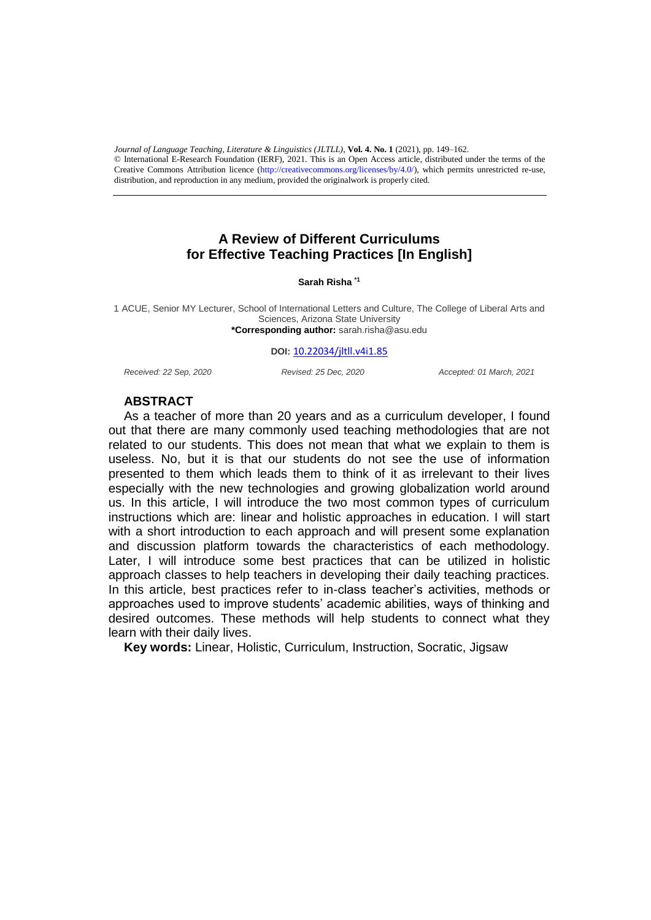$\bullet$  merhanonal E-Research Foundation (ERF), 2021. This is an Open Access article, distributed under the terms of the<br>Creative Commons Attribution licence (http://creativecommons.org/licenses/by/4.0/), which permits unres distribution, and reproduction in any medium, provided the originalwork is properly cited. *Journal of Language Teaching, Literature & Linguistics (JLTLL)*, **Vol. 4. No. 1** (2021), pp. 149–162. © International E-Research Foundation (IERF), 2021. This is an Open Access article, distributed under the terms of the

# **A Review of Different Curriculums for Effective Teaching Practices [In English]**

#### **Sarah Risha \*1**

1 ACUE, Senior MY Lecturer, School of International Letters and Culture, The College of Liberal Arts and Sciences, Arizona State University **\*Corresponding author:** sarah.risha@asu.edu

#### **DOI:** [10.22034/jltll.v4i1.85](http://jltll.ierf.ir/index.php/home/article/view/85)

*Received: 22 Sep, 2020 Revised: 25 Dec, 2020 Accepted: 01 March, 2021*

## **ABSTRACT**

As a teacher of more than 20 years and as a curriculum developer, I found out that there are many commonly used teaching methodologies that are not related to our students. This does not mean that what we explain to them is useless. No, but it is that our students do not see the use of information presented to them which leads them to think of it as irrelevant to their lives especially with the new technologies and growing globalization world around us. In this article, I will introduce the two most common types of curriculum instructions which are: linear and holistic approaches in education. I will start with a short introduction to each approach and will present some explanation and discussion platform towards the characteristics of each methodology. Later, I will introduce some best practices that can be utilized in holistic approach classes to help teachers in developing their daily teaching practices. In this article, best practices refer to in-class teacher's activities, methods or approaches used to improve students' academic abilities, ways of thinking and desired outcomes. These methods will help students to connect what they learn with their daily lives.

**Key words:** Linear, Holistic, Curriculum, Instruction, Socratic, Jigsaw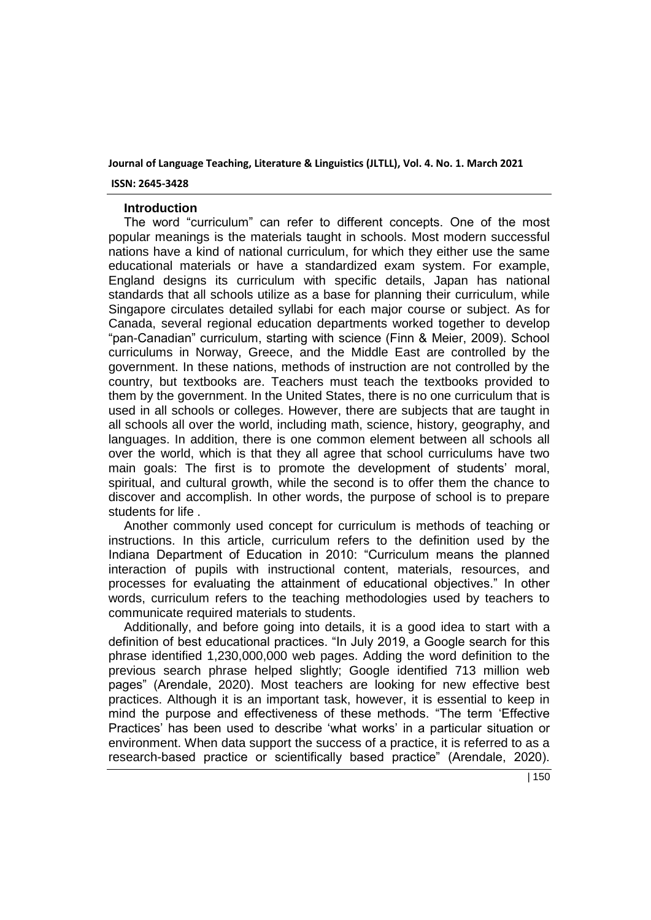## **ISSN: 2645-3428**

## **Introduction**

The word "curriculum" can refer to different concepts. One of the most popular meanings is the materials taught in schools. Most modern successful nations have a kind of national curriculum, for which they either use the same educational materials or have a standardized exam system. For example, England designs its curriculum with specific details, Japan has national standards that all schools utilize as a base for planning their curriculum, while Singapore circulates detailed syllabi for each major course or subject. As for Canada, several regional education departments worked together to develop "pan-Canadian" curriculum, starting with science (Finn & Meier, 2009). School curriculums in Norway, Greece, and the Middle East are controlled by the government. In these nations, methods of instruction are not controlled by the country, but textbooks are. Teachers must teach the textbooks provided to them by the government. In the United States, there is no one curriculum that is used in all schools or colleges. However, there are subjects that are taught in all schools all over the world, including math, science, history, geography, and languages. In addition, there is one common element between all schools all over the world, which is that they all agree that school curriculums have two main goals: The first is to promote the development of students' moral, spiritual, and cultural growth, while the second is to offer them the chance to discover and accomplish. In other words, the purpose of school is to prepare students for life .

Another commonly used concept for curriculum is methods of teaching or instructions. In this article, curriculum refers to the definition used by the Indiana Department of Education in 2010: "Curriculum means the planned interaction of pupils with instructional content, materials, resources, and processes for evaluating the attainment of educational objectives." In other words, curriculum refers to the teaching methodologies used by teachers to communicate required materials to students.

Additionally, and before going into details, it is a good idea to start with a definition of best educational practices. "In July 2019, a Google search for this phrase identified 1,230,000,000 web pages. Adding the word definition to the previous search phrase helped slightly; Google identified 713 million web pages" (Arendale, 2020). Most teachers are looking for new effective best practices. Although it is an important task, however, it is essential to keep in mind the purpose and effectiveness of these methods. "The term 'Effective Practices' has been used to describe 'what works' in a particular situation or environment. When data support the success of a practice, it is referred to as a research-based practice or scientifically based practice" (Arendale, 2020).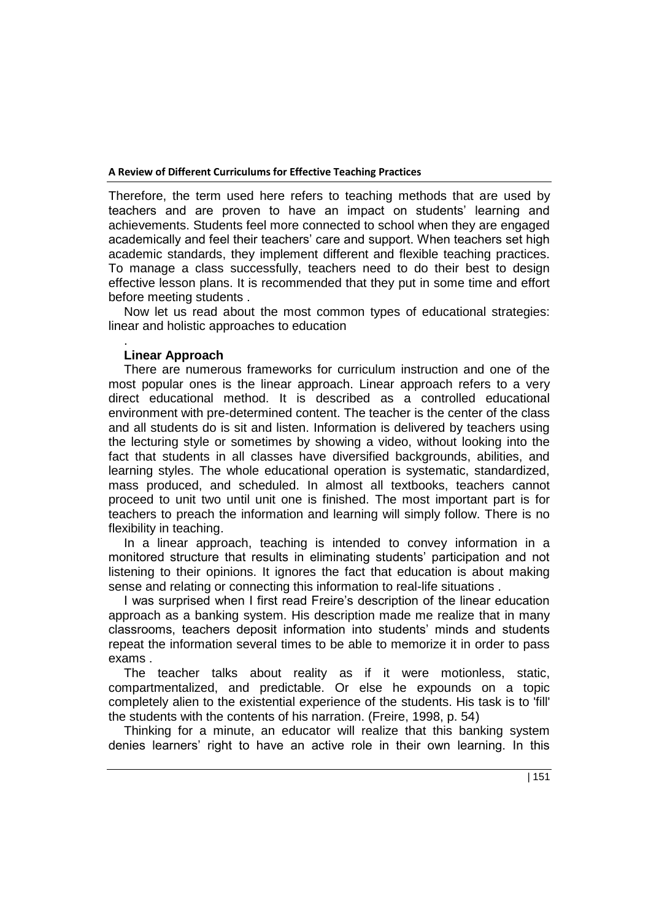Therefore, the term used here refers to teaching methods that are used by teachers and are proven to have an impact on students' learning and achievements. Students feel more connected to school when they are engaged academically and feel their teachers' care and support. When teachers set high academic standards, they implement different and flexible teaching practices. To manage a class successfully, teachers need to do their best to design effective lesson plans. It is recommended that they put in some time and effort before meeting students .

Now let us read about the most common types of educational strategies: linear and holistic approaches to education

## . **Linear Approach**

There are numerous frameworks for curriculum instruction and one of the most popular ones is the linear approach. Linear approach refers to a very direct educational method. It is described as a controlled educational environment with pre-determined content. The teacher is the center of the class and all students do is sit and listen. Information is delivered by teachers using the lecturing style or sometimes by showing a video, without looking into the fact that students in all classes have diversified backgrounds, abilities, and learning styles. The whole educational operation is systematic, standardized, mass produced, and scheduled. In almost all textbooks, teachers cannot proceed to unit two until unit one is finished. The most important part is for teachers to preach the information and learning will simply follow. There is no flexibility in teaching.

In a linear approach, teaching is intended to convey information in a monitored structure that results in eliminating students' participation and not listening to their opinions. It ignores the fact that education is about making sense and relating or connecting this information to real-life situations .

I was surprised when I first read Freire's description of the linear education approach as a banking system. His description made me realize that in many classrooms, teachers deposit information into students' minds and students repeat the information several times to be able to memorize it in order to pass exams .

The teacher talks about reality as if it were motionless, static, compartmentalized, and predictable. Or else he expounds on a topic completely alien to the existential experience of the students. His task is to 'fill' the students with the contents of his narration. (Freire, 1998, p. 54)

Thinking for a minute, an educator will realize that this banking system denies learners' right to have an active role in their own learning. In this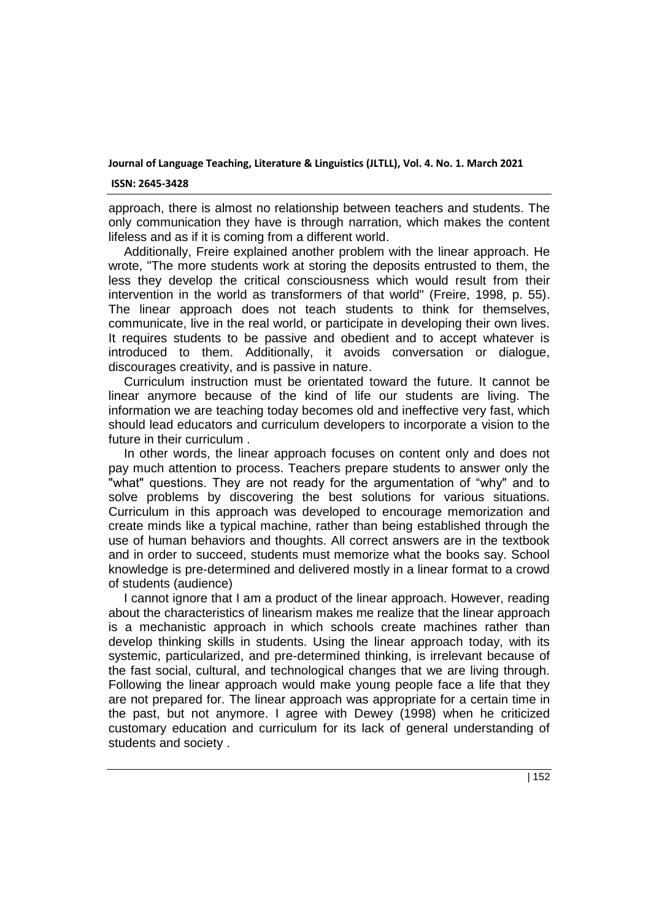### **ISSN: 2645-3428**

approach, there is almost no relationship between teachers and students. The only communication they have is through narration, which makes the content lifeless and as if it is coming from a different world.

Additionally, Freire explained another problem with the linear approach. He wrote, "The more students work at storing the deposits entrusted to them, the less they develop the critical consciousness which would result from their intervention in the world as transformers of that world" (Freire, 1998, p. 55). The linear approach does not teach students to think for themselves, communicate, live in the real world, or participate in developing their own lives. It requires students to be passive and obedient and to accept whatever is introduced to them. Additionally, it avoids conversation or dialogue, discourages creativity, and is passive in nature.

Curriculum instruction must be orientated toward the future. It cannot be linear anymore because of the kind of life our students are living. The information we are teaching today becomes old and ineffective very fast, which should lead educators and curriculum developers to incorporate a vision to the future in their curriculum

In other words, the linear approach focuses on content only and does not pay much attention to process. Teachers prepare students to answer only the "what" questions. They are not ready for the argumentation of "why" and to solve problems by discovering the best solutions for various situations. Curriculum in this approach was developed to encourage memorization and create minds like a typical machine, rather than being established through the use of human behaviors and thoughts. All correct answers are in the textbook and in order to succeed, students must memorize what the books say. School knowledge is pre-determined and delivered mostly in a linear format to a crowd of students (audience)

I cannot ignore that I am a product of the linear approach. However, reading about the characteristics of linearism makes me realize that the linear approach is a mechanistic approach in which schools create machines rather than develop thinking skills in students. Using the linear approach today, with its systemic, particularized, and pre-determined thinking, is irrelevant because of the fast social, cultural, and technological changes that we are living through. Following the linear approach would make young people face a life that they are not prepared for. The linear approach was appropriate for a certain time in the past, but not anymore. I agree with Dewey (1998) when he criticized customary education and curriculum for its lack of general understanding of students and society .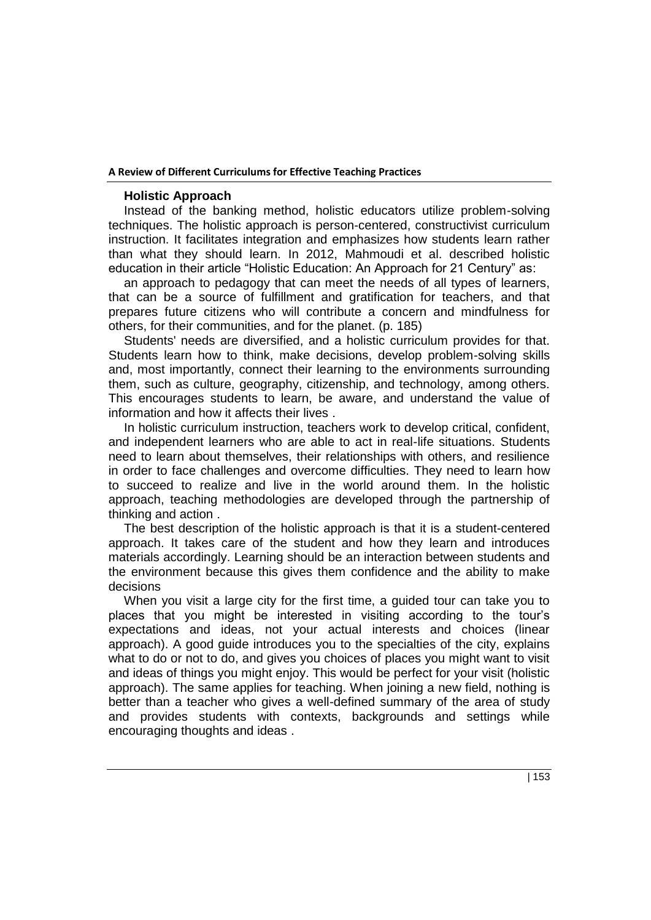## **Holistic Approach**

Instead of the banking method, holistic educators utilize problem-solving techniques. The holistic approach is person-centered, constructivist curriculum instruction. It facilitates integration and emphasizes how students learn rather than what they should learn. In 2012, Mahmoudi et al. described holistic education in their article "Holistic Education: An Approach for 21 Century" as:

an approach to pedagogy that can meet the needs of all types of learners, that can be a source of fulfillment and gratification for teachers, and that prepares future citizens who will contribute a concern and mindfulness for others, for their communities, and for the planet. (p. 185)

Students' needs are diversified, and a holistic curriculum provides for that. Students learn how to think, make decisions, develop problem-solving skills and, most importantly, connect their learning to the environments surrounding them, such as culture, geography, citizenship, and technology, among others. This encourages students to learn, be aware, and understand the value of information and how it affects their lives .

In holistic curriculum instruction, teachers work to develop critical, confident, and independent learners who are able to act in real-life situations. Students need to learn about themselves, their relationships with others, and resilience in order to face challenges and overcome difficulties. They need to learn how to succeed to realize and live in the world around them. In the holistic approach, teaching methodologies are developed through the partnership of thinking and action .

The best description of the holistic approach is that it is a student-centered approach. It takes care of the student and how they learn and introduces materials accordingly. Learning should be an interaction between students and the environment because this gives them confidence and the ability to make decisions

When you visit a large city for the first time, a guided tour can take you to places that you might be interested in visiting according to the tour's expectations and ideas, not your actual interests and choices (linear approach). A good guide introduces you to the specialties of the city, explains what to do or not to do, and gives you choices of places you might want to visit and ideas of things you might enjoy. This would be perfect for your visit (holistic approach). The same applies for teaching. When joining a new field, nothing is better than a teacher who gives a well-defined summary of the area of study and provides students with contexts, backgrounds and settings while encouraging thoughts and ideas .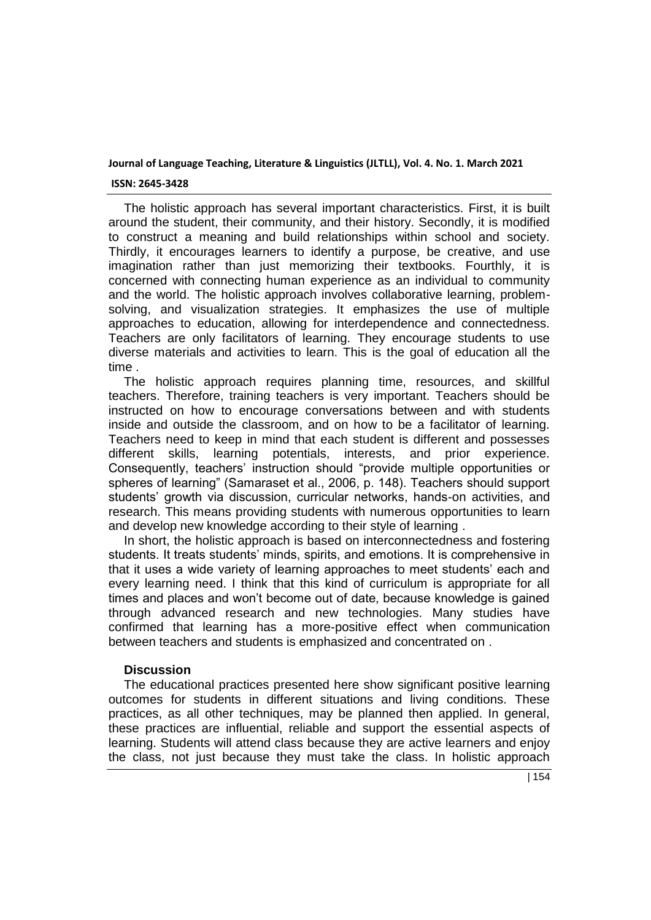### **ISSN: 2645-3428**

The holistic approach has several important characteristics. First, it is built around the student, their community, and their history. Secondly, it is modified to construct a meaning and build relationships within school and society. Thirdly, it encourages learners to identify a purpose, be creative, and use imagination rather than just memorizing their textbooks. Fourthly, it is concerned with connecting human experience as an individual to community and the world. The holistic approach involves collaborative learning, problemsolving, and visualization strategies. It emphasizes the use of multiple approaches to education, allowing for interdependence and connectedness. Teachers are only facilitators of learning. They encourage students to use diverse materials and activities to learn. This is the goal of education all the time .

The holistic approach requires planning time, resources, and skillful teachers. Therefore, training teachers is very important. Teachers should be instructed on how to encourage conversations between and with students inside and outside the classroom, and on how to be a facilitator of learning. Teachers need to keep in mind that each student is different and possesses different skills, learning potentials, interests, and prior experience. Consequently, teachers' instruction should "provide multiple opportunities or spheres of learning" (Samaraset et al., 2006, p. 148). Teachers should support students' growth via discussion, curricular networks, hands-on activities, and research. This means providing students with numerous opportunities to learn and develop new knowledge according to their style of learning .

In short, the holistic approach is based on interconnectedness and fostering students. It treats students' minds, spirits, and emotions. It is comprehensive in that it uses a wide variety of learning approaches to meet students' each and every learning need. I think that this kind of curriculum is appropriate for all times and places and won't become out of date, because knowledge is gained through advanced research and new technologies. Many studies have confirmed that learning has a more-positive effect when communication between teachers and students is emphasized and concentrated on .

# **Discussion**

The educational practices presented here show significant positive learning outcomes for students in different situations and living conditions. These practices, as all other techniques, may be planned then applied. In general, these practices are influential, reliable and support the essential aspects of learning. Students will attend class because they are active learners and enjoy the class, not just because they must take the class. In holistic approach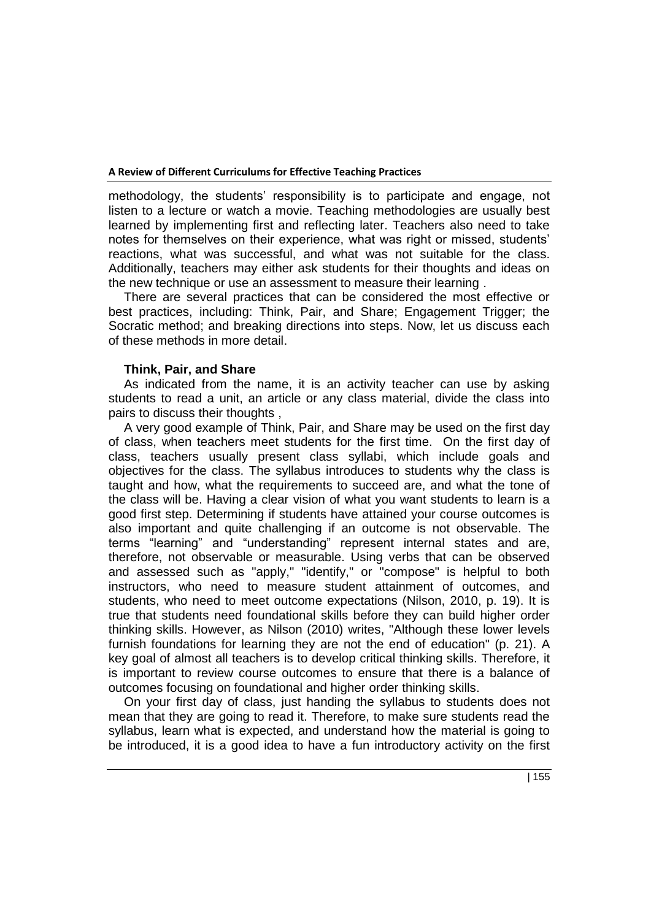methodology, the students' responsibility is to participate and engage, not listen to a lecture or watch a movie. Teaching methodologies are usually best learned by implementing first and reflecting later. Teachers also need to take notes for themselves on their experience, what was right or missed, students' reactions, what was successful, and what was not suitable for the class. Additionally, teachers may either ask students for their thoughts and ideas on the new technique or use an assessment to measure their learning .

There are several practices that can be considered the most effective or best practices, including: Think, Pair, and Share; Engagement Trigger; the Socratic method; and breaking directions into steps. Now, let us discuss each of these methods in more detail.

## **Think, Pair, and Share**

As indicated from the name, it is an activity teacher can use by asking students to read a unit, an article or any class material, divide the class into pairs to discuss their thoughts ,

A very good example of Think, Pair, and Share may be used on the first day of class, when teachers meet students for the first time. On the first day of class, teachers usually present class syllabi, which include goals and objectives for the class. The syllabus introduces to students why the class is taught and how, what the requirements to succeed are, and what the tone of the class will be. Having a clear vision of what you want students to learn is a good first step. Determining if students have attained your course outcomes is also important and quite challenging if an outcome is not observable. The terms "learning" and "understanding" represent internal states and are, therefore, not observable or measurable. Using verbs that can be observed and assessed such as "apply," "identify," or "compose" is helpful to both instructors, who need to measure student attainment of outcomes, and students, who need to meet outcome expectations (Nilson, 2010, p. 19). It is true that students need foundational skills before they can build higher order thinking skills. However, as Nilson (2010) writes, "Although these lower levels furnish foundations for learning they are not the end of education" (p. 21). A key goal of almost all teachers is to develop critical thinking skills. Therefore, it is important to review course outcomes to ensure that there is a balance of outcomes focusing on foundational and higher order thinking skills.

On your first day of class, just handing the syllabus to students does not mean that they are going to read it. Therefore, to make sure students read the syllabus, learn what is expected, and understand how the material is going to be introduced, it is a good idea to have a fun introductory activity on the first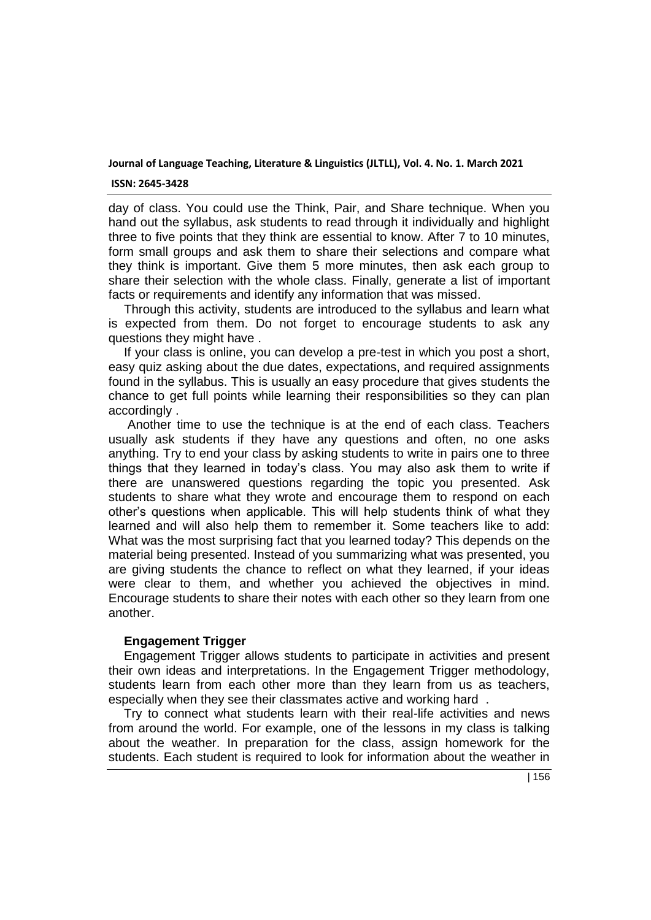#### **ISSN: 2645-3428**

day of class. You could use the Think, Pair, and Share technique. When you hand out the syllabus, ask students to read through it individually and highlight three to five points that they think are essential to know. After 7 to 10 minutes, form small groups and ask them to share their selections and compare what they think is important. Give them 5 more minutes, then ask each group to share their selection with the whole class. Finally, generate a list of important facts or requirements and identify any information that was missed.

Through this activity, students are introduced to the syllabus and learn what is expected from them. Do not forget to encourage students to ask any questions they might have .

If your class is online, you can develop a pre-test in which you post a short, easy quiz asking about the due dates, expectations, and required assignments found in the syllabus. This is usually an easy procedure that gives students the chance to get full points while learning their responsibilities so they can plan accordingly .

Another time to use the technique is at the end of each class. Teachers usually ask students if they have any questions and often, no one asks anything. Try to end your class by asking students to write in pairs one to three things that they learned in today's class. You may also ask them to write if there are unanswered questions regarding the topic you presented. Ask students to share what they wrote and encourage them to respond on each other's questions when applicable. This will help students think of what they learned and will also help them to remember it. Some teachers like to add: What was the most surprising fact that you learned today? This depends on the material being presented. Instead of you summarizing what was presented, you are giving students the chance to reflect on what they learned, if your ideas were clear to them, and whether you achieved the objectives in mind. Encourage students to share their notes with each other so they learn from one another.

## **Engagement Trigger**

Engagement Trigger allows students to participate in activities and present their own ideas and interpretations. In the Engagement Trigger methodology, students learn from each other more than they learn from us as teachers, especially when they see their classmates active and working hard .

Try to connect what students learn with their real-life activities and news from around the world. For example, one of the lessons in my class is talking about the weather. In preparation for the class, assign homework for the students. Each student is required to look for information about the weather in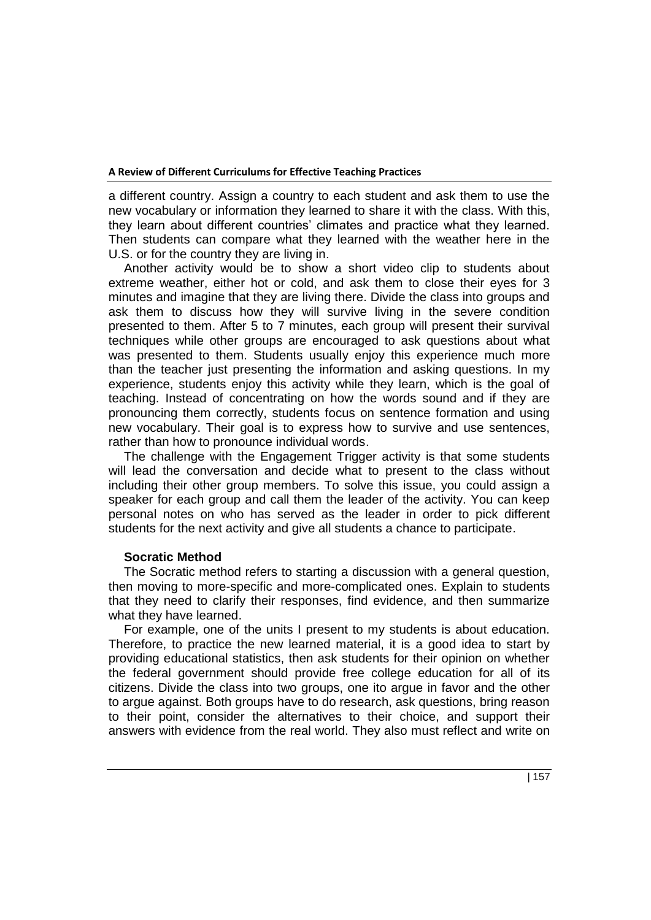a different country. Assign a country to each student and ask them to use the new vocabulary or information they learned to share it with the class. With this, they learn about different countries' climates and practice what they learned. Then students can compare what they learned with the weather here in the U.S. or for the country they are living in.

Another activity would be to show a short video clip to students about extreme weather, either hot or cold, and ask them to close their eyes for 3 minutes and imagine that they are living there. Divide the class into groups and ask them to discuss how they will survive living in the severe condition presented to them. After 5 to 7 minutes, each group will present their survival techniques while other groups are encouraged to ask questions about what was presented to them. Students usually enjoy this experience much more than the teacher just presenting the information and asking questions. In my experience, students enjoy this activity while they learn, which is the goal of teaching. Instead of concentrating on how the words sound and if they are pronouncing them correctly, students focus on sentence formation and using new vocabulary. Their goal is to express how to survive and use sentences, rather than how to pronounce individual words.

The challenge with the Engagement Trigger activity is that some students will lead the conversation and decide what to present to the class without including their other group members. To solve this issue, you could assign a speaker for each group and call them the leader of the activity. You can keep personal notes on who has served as the leader in order to pick different students for the next activity and give all students a chance to participate.

# **Socratic Method**

The Socratic method refers to starting a discussion with a general question, then moving to more-specific and more-complicated ones. Explain to students that they need to clarify their responses, find evidence, and then summarize what they have learned.

For example, one of the units I present to my students is about education. Therefore, to practice the new learned material, it is a good idea to start by providing educational statistics, then ask students for their opinion on whether the federal government should provide free college education for all of its citizens. Divide the class into two groups, one ito argue in favor and the other to argue against. Both groups have to do research, ask questions, bring reason to their point, consider the alternatives to their choice, and support their answers with evidence from the real world. They also must reflect and write on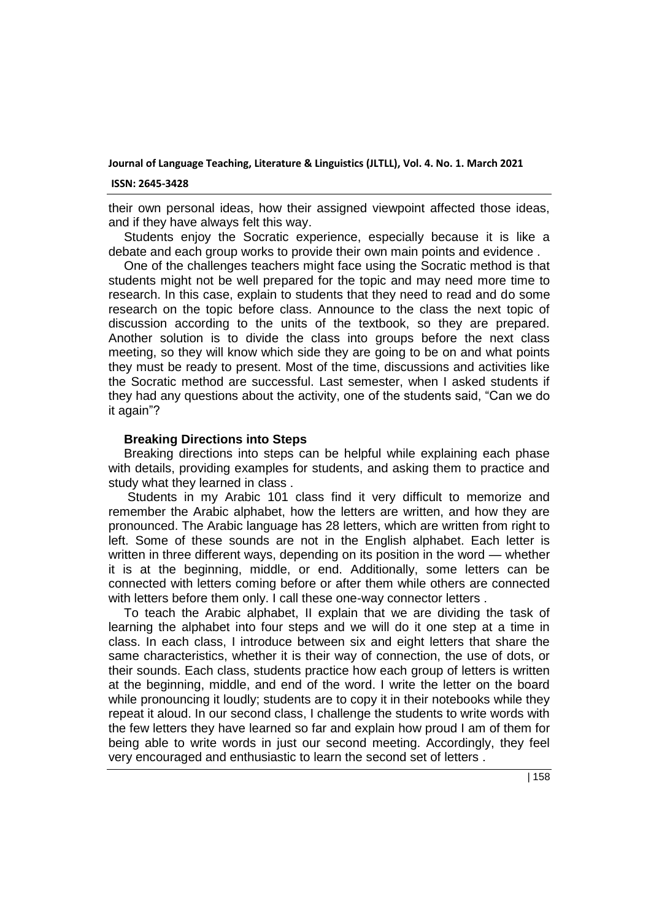#### **ISSN: 2645-3428**

their own personal ideas, how their assigned viewpoint affected those ideas, and if they have always felt this way.

Students enjoy the Socratic experience, especially because it is like a debate and each group works to provide their own main points and evidence .

One of the challenges teachers might face using the Socratic method is that students might not be well prepared for the topic and may need more time to research. In this case, explain to students that they need to read and do some research on the topic before class. Announce to the class the next topic of discussion according to the units of the textbook, so they are prepared. Another solution is to divide the class into groups before the next class meeting, so they will know which side they are going to be on and what points they must be ready to present. Most of the time, discussions and activities like the Socratic method are successful. Last semester, when I asked students if they had any questions about the activity, one of the students said, "Can we do it again"?

## **Breaking Directions into Steps**

Breaking directions into steps can be helpful while explaining each phase with details, providing examples for students, and asking them to practice and study what they learned in class .

Students in my Arabic 101 class find it very difficult to memorize and remember the Arabic alphabet, how the letters are written, and how they are pronounced. The Arabic language has 28 letters, which are written from right to left. Some of these sounds are not in the English alphabet. Each letter is written in three different ways, depending on its position in the word — whether it is at the beginning, middle, or end. Additionally, some letters can be connected with letters coming before or after them while others are connected with letters before them only. I call these one-way connector letters .

To teach the Arabic alphabet, II explain that we are dividing the task of learning the alphabet into four steps and we will do it one step at a time in class. In each class, I introduce between six and eight letters that share the same characteristics, whether it is their way of connection, the use of dots, or their sounds. Each class, students practice how each group of letters is written at the beginning, middle, and end of the word. I write the letter on the board while pronouncing it loudly; students are to copy it in their notebooks while they repeat it aloud. In our second class, I challenge the students to write words with the few letters they have learned so far and explain how proud I am of them for being able to write words in just our second meeting. Accordingly, they feel very encouraged and enthusiastic to learn the second set of letters .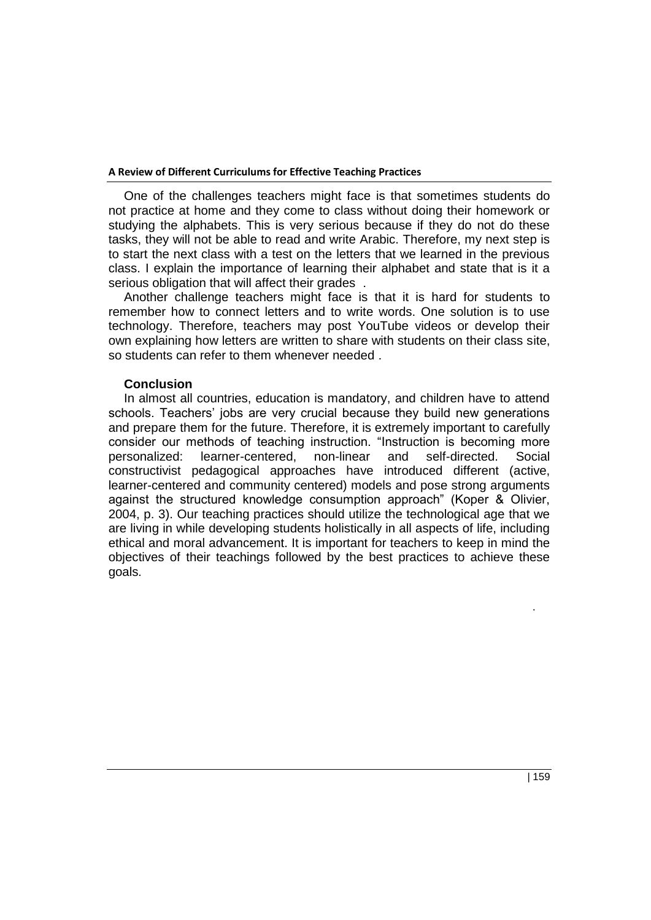One of the challenges teachers might face is that sometimes students do not practice at home and they come to class without doing their homework or studying the alphabets. This is very serious because if they do not do these tasks, they will not be able to read and write Arabic. Therefore, my next step is to start the next class with a test on the letters that we learned in the previous class. I explain the importance of learning their alphabet and state that is it a serious obligation that will affect their grades .

Another challenge teachers might face is that it is hard for students to remember how to connect letters and to write words. One solution is to use technology. Therefore, teachers may post YouTube videos or develop their own explaining how letters are written to share with students on their class site, so students can refer to them whenever needed .

## **Conclusion**

In almost all countries, education is mandatory, and children have to attend schools. Teachers' jobs are very crucial because they build new generations and prepare them for the future. Therefore, it is extremely important to carefully consider our methods of teaching instruction. "Instruction is becoming more personalized: learner-centered, non-linear and self-directed. Social constructivist pedagogical approaches have introduced different (active, learner-centered and community centered) models and pose strong arguments against the structured knowledge consumption approach" (Koper & Olivier, 2004, p. 3). Our teaching practices should utilize the technological age that we are living in while developing students holistically in all aspects of life, including ethical and moral advancement. It is important for teachers to keep in mind the objectives of their teachings followed by the best practices to achieve these goals.

.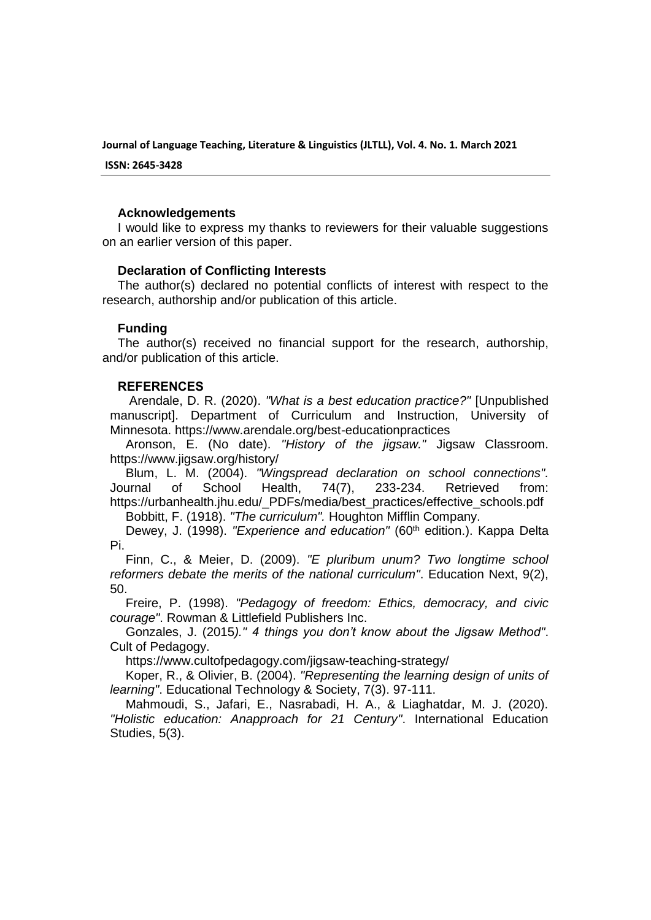**ISSN: 2645-3428**

## **Acknowledgements**

I would like to express my thanks to reviewers for their valuable suggestions on an earlier version of this paper.

## **Declaration of Conflicting Interests**

The author(s) declared no potential conflicts of interest with respect to the research, authorship and/or publication of this article.

## **Funding**

The author(s) received no financial support for the research, authorship, and/or publication of this article.

## **REFERENCES**

Arendale, D. R. (2020). *"What is a best education practice?"* [Unpublished manuscript]. Department of Curriculum and Instruction, University of Minnesota. https://www.arendale.org/best-educationpractices

Aronson, E. (No date). *"History of the jigsaw."* Jigsaw Classroom. https://www.jigsaw.org/history/

Blum, L. M. (2004). *"Wingspread declaration on school connections".* Journal of School Health, 74(7), 233-234. Retrieved from: https://urbanhealth.jhu.edu/\_PDFs/media/best\_practices/effective\_schools.pdf

Bobbitt, F. (1918). *"The curriculum".* Houghton Mifflin Company.

Dewey, J. (1998). *"Experience and education"* (60<sup>th</sup> edition.). Kappa Delta Pi.

Finn, C., & Meier, D. (2009). *"E pluribum unum? Two longtime school reformers debate the merits of the national curriculum"*. Education Next, 9(2), 50.

Freire, P. (1998). *"Pedagogy of freedom: Ethics, democracy, and civic courage"*. Rowman & Littlefield Publishers Inc.

Gonzales, J. (2015*)." 4 things you don't know about the Jigsaw Method"*. Cult of Pedagogy.

https://www.cultofpedagogy.com/jigsaw-teaching-strategy/

Koper, R., & Olivier, B. (2004). *"Representing the learning design of units of learning"*. Educational Technology & Society, 7(3). 97-111.

Mahmoudi, S., Jafari, E., Nasrabadi, H. A., & Liaghatdar, M. J. (2020). *"Holistic education: Anapproach for 21 Century"*. International Education Studies, 5(3).